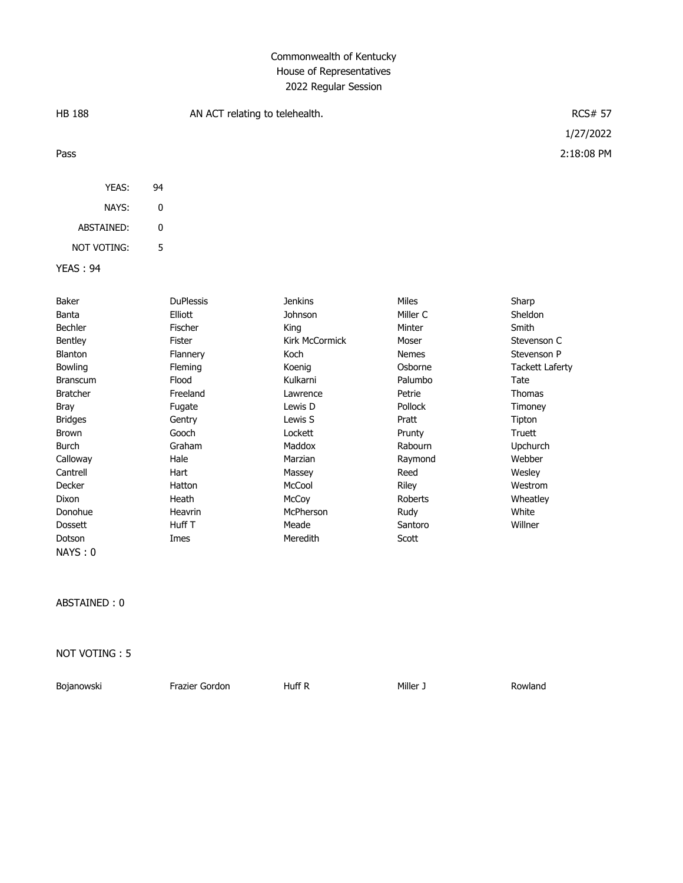# Commonwealth of Kentucky House of Representatives 2022 Regular Session

| <b>HB 188</b>      |    | AN ACT relating to telehealth. | <b>RCS# 57</b> |              |                        |
|--------------------|----|--------------------------------|----------------|--------------|------------------------|
|                    |    |                                |                |              | 1/27/2022              |
| Pass               |    |                                |                |              | 2:18:08 PM             |
| YEAS:              | 94 |                                |                |              |                        |
| NAYS:              | 0  |                                |                |              |                        |
| ABSTAINED:         | 0  |                                |                |              |                        |
| <b>NOT VOTING:</b> | 5  |                                |                |              |                        |
| <b>YEAS: 94</b>    |    |                                |                |              |                        |
| Baker              |    | <b>DuPlessis</b>               | <b>Jenkins</b> | Miles        | Sharp                  |
| Banta              |    | Elliott                        | Johnson        | Miller C     | Sheldon                |
| Bechler            |    | Fischer                        | King           | Minter       | Smith                  |
| Bentley            |    | <b>Fister</b>                  | Kirk McCormick | Moser        | Stevenson C            |
| Blanton            |    | Flannery                       | Koch           | <b>Nemes</b> | Stevenson P            |
| Bowling            |    | Fleming                        | Koenig         | Osborne      | <b>Tackett Laferty</b> |
| <b>Branscum</b>    |    | Flood                          | Kulkarni       | Palumbo      | Tate                   |
| <b>Bratcher</b>    |    | Freeland                       | Lawrence       | Petrie       | Thomas                 |
| <b>Bray</b>        |    | Fugate                         | Lewis D        | Pollock      | Timoney                |
| <b>Bridges</b>     |    | Gentry                         | Lewis S        | Pratt        | Tipton                 |
| <b>Brown</b>       |    | Gooch                          | Lockett        | Prunty       | Truett                 |
| <b>Burch</b>       |    | Graham                         | Maddox         | Rabourn      | Upchurch               |
| Calloway           |    | Hale                           | Marzian        | Raymond      | Webber                 |
| Cantrell           |    | Hart                           | Massey         | Reed         | Wesley                 |
| Decker             |    | Hatton                         | McCool         | Riley        | Westrom                |
| Dixon              |    | Heath                          | McCoy          | Roberts      | Wheatley               |
| Donohue            |    | Heavrin                        | McPherson      | Rudy         | White                  |

Dossett Huff T Meade Santoro Willner

ABSTAINED : 0

NAYS : 0

NOT VOTING : 5

Bojanowski Frazier Gordon Huff R Miller J Rowland

Dotson **Imes Imes** Meredith Scott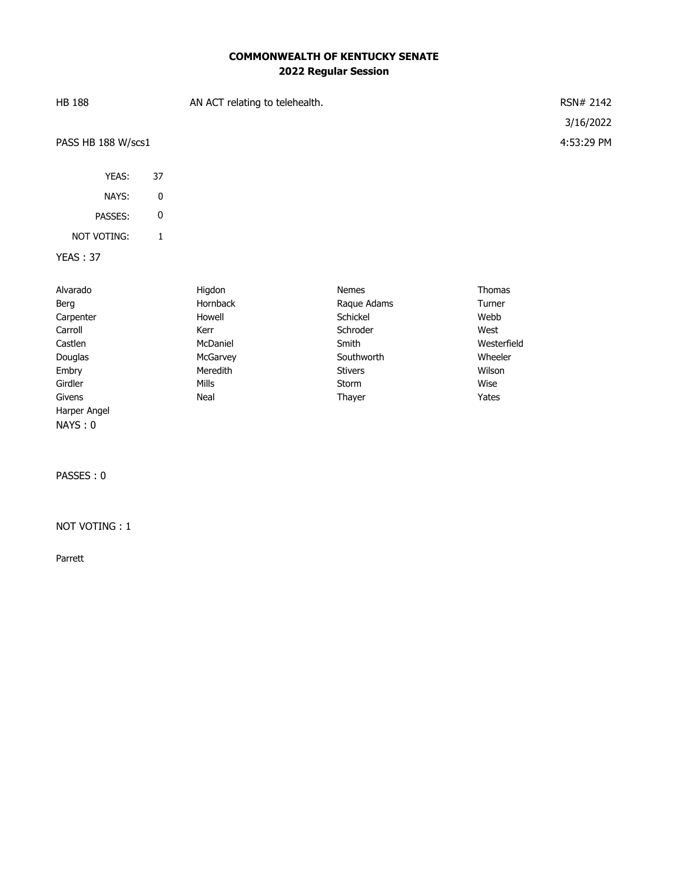## **COMMONWEALTH OF KENTUCKY SENATE 2022 Regular Session**

| <b>HB 188</b>      |    | AN ACT relating to telehealth. | RSN# 2142  |
|--------------------|----|--------------------------------|------------|
|                    |    |                                | 3/16/2022  |
| PASS HB 188 W/scs1 |    |                                | 4:53:29 PM |
| YEAS:              | 37 |                                |            |
| NAYS:              | 0  |                                |            |
| PASSES:            | 0  |                                |            |

# NOT VOTING: 1

### YEAS : 37

| Alvarado     | Higdon          | <b>Nemes</b>   | Thomas      |
|--------------|-----------------|----------------|-------------|
| Berg         | <b>Hornback</b> | Raque Adams    | Turner      |
| Carpenter    | Howell          | Schickel       | Webb        |
| Carroll      | Kerr            | Schroder       | West        |
| Castlen      | McDaniel        | Smith          | Westerfield |
| Douglas      | McGarvey        | Southworth     | Wheeler     |
| Embry        | Meredith        | <b>Stivers</b> | Wilson      |
| Girdler      | <b>Mills</b>    | <b>Storm</b>   | Wise        |
| Givens       | Neal            | Thayer         | Yates       |
| Harper Angel |                 |                |             |

PASSES : 0

NAYS : 0

#### NOT VOTING : 1

Parrett